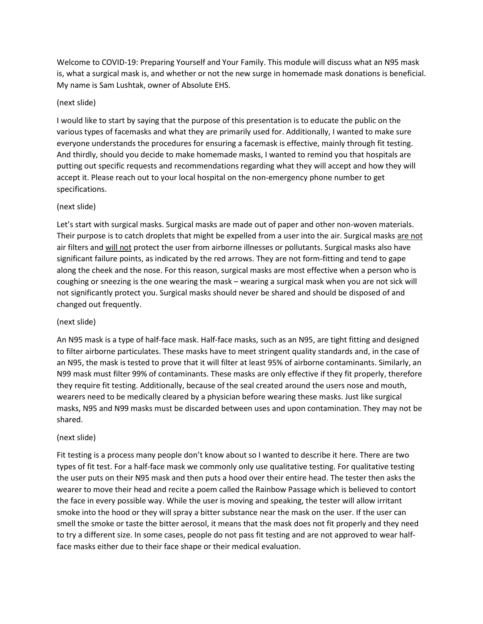Welcome to COVID-19: Preparing Yourself and Your Family. This module will discuss what an N95 mask is, what a surgical mask is, and whether or not the new surge in homemade mask donations is beneficial. My name is Sam Lushtak, owner of Absolute EHS.

## (next slide)

I would like to start by saying that the purpose of this presentation is to educate the public on the various types of facemasks and what they are primarily used for. Additionally, I wanted to make sure everyone understands the procedures for ensuring a facemask is effective, mainly through fit testing. And thirdly, should you decide to make homemade masks, I wanted to remind you that hospitals are putting out specific requests and recommendations regarding what they will accept and how they will accept it. Please reach out to your local hospital on the non-emergency phone number to get specifications.

# (next slide)

Let's start with surgical masks. Surgical masks are made out of paper and other non-woven materials. Their purpose is to catch droplets that might be expelled from a user into the air. Surgical masks are not air filters and will not protect the user from airborne illnesses or pollutants. Surgical masks also have significant failure points, as indicated by the red arrows. They are not form-fitting and tend to gape along the cheek and the nose. For this reason, surgical masks are most effective when a person who is coughing or sneezing is the one wearing the mask – wearing a surgical mask when you are not sick will not significantly protect you. Surgical masks should never be shared and should be disposed of and changed out frequently.

### (next slide)

An N95 mask is a type of half-face mask. Half-face masks, such as an N95, are tight fitting and designed to filter airborne particulates. These masks have to meet stringent quality standards and, in the case of an N95, the mask is tested to prove that it will filter at least 95% of airborne contaminants. Similarly, an N99 mask must filter 99% of contaminants. These masks are only effective if they fit properly, therefore they require fit testing. Additionally, because of the seal created around the users nose and mouth, wearers need to be medically cleared by a physician before wearing these masks. Just like surgical masks, N95 and N99 masks must be discarded between uses and upon contamination. They may not be shared.

### (next slide)

Fit testing is a process many people don't know about so I wanted to describe it here. There are two types of fit test. For a half-face mask we commonly only use qualitative testing. For qualitative testing the user puts on their N95 mask and then puts a hood over their entire head. The tester then asks the wearer to move their head and recite a poem called the Rainbow Passage which is believed to contort the face in every possible way. While the user is moving and speaking, the tester will allow irritant smoke into the hood or they will spray a bitter substance near the mask on the user. If the user can smell the smoke or taste the bitter aerosol, it means that the mask does not fit properly and they need to try a different size. In some cases, people do not pass fit testing and are not approved to wear halfface masks either due to their face shape or their medical evaluation.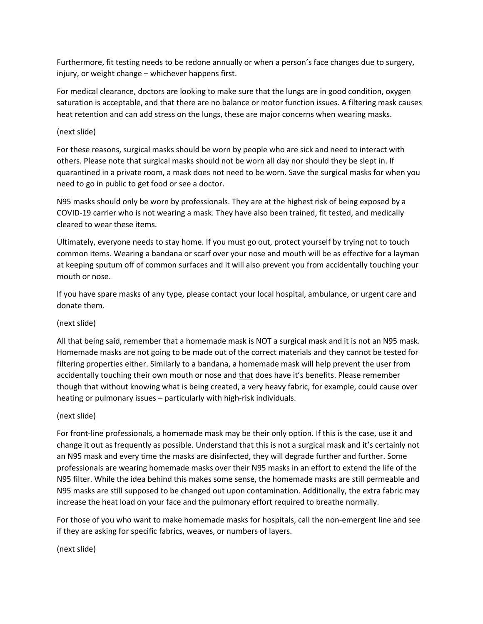Furthermore, fit testing needs to be redone annually or when a person's face changes due to surgery, injury, or weight change – whichever happens first.

For medical clearance, doctors are looking to make sure that the lungs are in good condition, oxygen saturation is acceptable, and that there are no balance or motor function issues. A filtering mask causes heat retention and can add stress on the lungs, these are major concerns when wearing masks.

### (next slide)

For these reasons, surgical masks should be worn by people who are sick and need to interact with others. Please note that surgical masks should not be worn all day nor should they be slept in. If quarantined in a private room, a mask does not need to be worn. Save the surgical masks for when you need to go in public to get food or see a doctor.

N95 masks should only be worn by professionals. They are at the highest risk of being exposed by a COVID-19 carrier who is not wearing a mask. They have also been trained, fit tested, and medically cleared to wear these items.

Ultimately, everyone needs to stay home. If you must go out, protect yourself by trying not to touch common items. Wearing a bandana or scarf over your nose and mouth will be as effective for a layman at keeping sputum off of common surfaces and it will also prevent you from accidentally touching your mouth or nose.

If you have spare masks of any type, please contact your local hospital, ambulance, or urgent care and donate them.

### (next slide)

All that being said, remember that a homemade mask is NOT a surgical mask and it is not an N95 mask. Homemade masks are not going to be made out of the correct materials and they cannot be tested for filtering properties either. Similarly to a bandana, a homemade mask will help prevent the user from accidentally touching their own mouth or nose and that does have it's benefits. Please remember though that without knowing what is being created, a very heavy fabric, for example, could cause over heating or pulmonary issues – particularly with high-risk individuals.

### (next slide)

For front-line professionals, a homemade mask may be their only option. If this is the case, use it and change it out as frequently as possible. Understand that this is not a surgical mask and it's certainly not an N95 mask and every time the masks are disinfected, they will degrade further and further. Some professionals are wearing homemade masks over their N95 masks in an effort to extend the life of the N95 filter. While the idea behind this makes some sense, the homemade masks are still permeable and N95 masks are still supposed to be changed out upon contamination. Additionally, the extra fabric may increase the heat load on your face and the pulmonary effort required to breathe normally.

For those of you who want to make homemade masks for hospitals, call the non-emergent line and see if they are asking for specific fabrics, weaves, or numbers of layers.

(next slide)